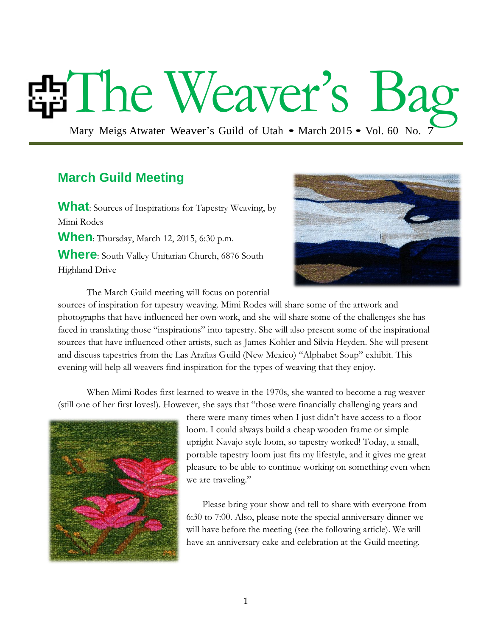# The Weaver's Ba

Mary Meigs Atwater Weaver's Guild of Utah • March 2015 • Vol. 60 No. 7

## **March Guild Meeting**

**What**: Sources of Inspirations for Tapestry Weaving, by Mimi Rodes **When**: Thursday, March 12, 2015, 6:30 p.m. **Where**: South Valley Unitarian Church, 6876 South Highland Drive



The March Guild meeting will focus on potential

sources of inspiration for tapestry weaving. Mimi Rodes will share some of the artwork and photographs that have influenced her own work, and she will share some of the challenges she has faced in translating those "inspirations" into tapestry. She will also present some of the inspirational sources that have influenced other artists, such as James Kohler and Silvia Heyden. She will present and discuss tapestries from the Las Arañas Guild (New Mexico) "Alphabet Soup" exhibit. This evening will help all weavers find inspiration for the types of weaving that they enjoy.

When Mimi Rodes first learned to weave in the 1970s, she wanted to become a rug weaver (still one of her first loves!). However, she says that "those were financially challenging years and



there were many times when I just didn't have access to a floor loom. I could always build a cheap wooden frame or simple upright Navajo style loom, so tapestry worked! Today, a small, portable tapestry loom just fits my lifestyle, and it gives me great pleasure to be able to continue working on something even when we are traveling."

Please bring your show and tell to share with everyone from 6:30 to 7:00. Also, please note the special anniversary dinner we will have before the meeting (see the following article). We will have an anniversary cake and celebration at the Guild meeting.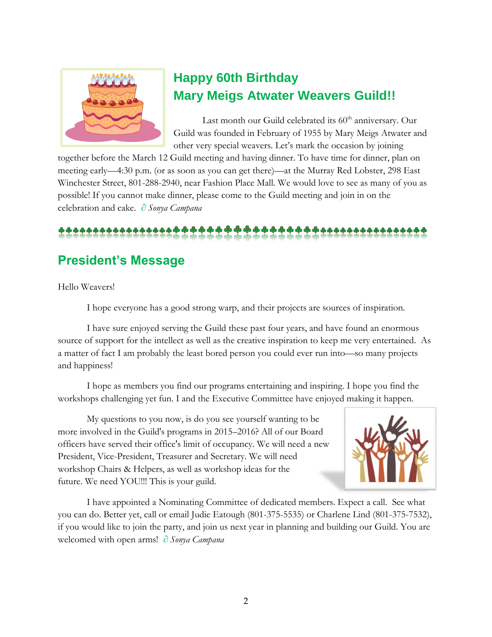

## **Happy 60th Birthday Mary Meigs Atwater Weavers Guild!!**

Last month our Guild celebrated its  $60<sup>th</sup>$  anniversary. Our Guild was founded in February of 1955 by Mary Meigs Atwater and other very special weavers. Let's mark the occasion by joining

together before the March 12 Guild meeting and having dinner. To have time for dinner, plan on meeting early—4:30 p.m. (or as soon as you can get there)—at the Murray Red Lobster, 298 East Winchester Street, 801-288-2940, near Fashion Place Mall. We would love to see as many of you as possible! If you cannot make dinner, please come to the Guild meeting and join in on the celebration and cake. *∂ Sonya Campana*

## **President's Message**

Hello Weavers!

I hope everyone has a good strong warp, and their projects are sources of inspiration.

I have sure enjoyed serving the Guild these past four years, and have found an enormous source of support for the intellect as well as the creative inspiration to keep me very entertained. As a matter of fact I am probably the least bored person you could ever run into—so many projects and happiness!

I hope as members you find our programs entertaining and inspiring. I hope you find the workshops challenging yet fun. I and the Executive Committee have enjoyed making it happen.

My questions to you now, is do you see yourself wanting to be more involved in the Guild's programs in 2015–2016? All of our Board officers have served their office's limit of occupancy. We will need a new President, Vice-President, Treasurer and Secretary. We will need workshop Chairs & Helpers, as well as workshop ideas for the future. We need YOU!!! This is your guild.



I have appointed a Nominating Committee of dedicated members. Expect a call. See what you can do. Better yet, call or email Judie Eatough (801-375-5535) or Charlene Lind (801-375-7532), if you would like to join the party, and join us next year in planning and building our Guild. You are welcomed with open arms! *∂ Sonya Campana*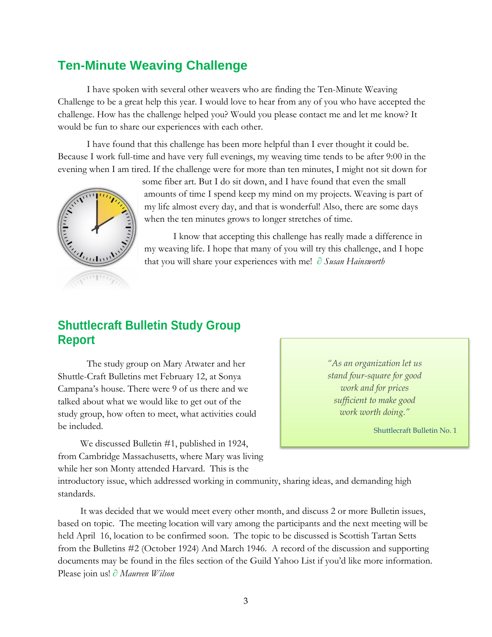## **Ten-Minute Weaving Challenge**

I have spoken with several other weavers who are finding the Ten-Minute Weaving Challenge to be a great help this year. I would love to hear from any of you who have accepted the challenge. How has the challenge helped you? Would you please contact me and let me know? It would be fun to share our experiences with each other.

I have found that this challenge has been more helpful than I ever thought it could be. Because I work full-time and have very full evenings, my weaving time tends to be after 9:00 in the evening when I am tired. If the challenge were for more than ten minutes, I might not sit down for



some fiber art. But I do sit down, and I have found that even the small amounts of time I spend keep my mind on my projects. Weaving is part of my life almost every day, and that is wonderful! Also, there are some days when the ten minutes grows to longer stretches of time.

I know that accepting this challenge has really made a difference in my weaving life. I hope that many of you will try this challenge, and I hope that you will share your experiences with me! ∂ *Susan Hainsworth*

## **Shuttlecraft Bulletin Study Group Report**

The study group on Mary Atwater and her Shuttle-Craft Bulletins met February 12, at Sonya Campana's house. There were 9 of us there and we talked about what we would like to get out of the study group, how often to meet, what activities could be included.

*"As an organization let us stand four-square for good work and for prices sufficient to make good work worth doing."*

Shuttlecraft Bulletin No. 1

We discussed Bulletin #1, published in 1924, from Cambridge Massachusetts, where Mary was living while her son Monty attended Harvard. This is the

introductory issue, which addressed working in community, sharing ideas, and demanding high standards.

It was decided that we would meet every other month, and discuss 2 or more Bulletin issues, based on topic. The meeting location will vary among the participants and the next meeting will be held April 16, location to be confirmed soon. The topic to be discussed is Scottish Tartan Setts from the Bulletins #2 (October 1924) And March 1946. A record of the discussion and supporting documents may be found in the files section of the Guild Yahoo List if you'd like more information. Please join us! ∂ *Maureen Wilson*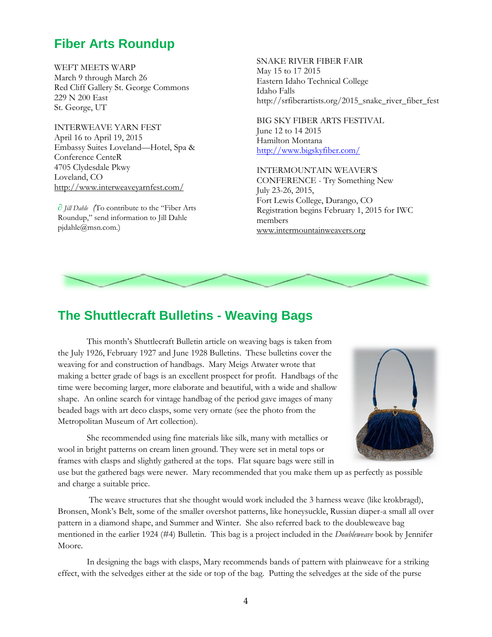## **Fiber Arts Roundup**

WEFT MEETS WARP March 9 through March 26 Red Cliff Gallery St. George Commons 229 N 200 East St. George, UT

INTERWEAVE YARN FEST April 16 to April 19, 2015 Embassy Suites Loveland—Hotel, Spa & Conference CenteR 4705 Clydesdale Pkwy Loveland, CO <http://www.interweaveyarnfest.com/>

∂ *Jill Dahle (*To contribute to the "Fiber Arts Roundup," send information to Jill Dahle pjdahle@msn.com.)

SNAKE RIVER FIBER FAIR May 15 to 17 2015 Eastern Idaho Technical College Idaho Falls http://srfiberartists.org/2015\_snake\_river\_fiber\_fest

BIG SKY FIBER ARTS FESTIVAL June 12 to 14 2015 Hamilton Montana <http://www.bigskyfiber.com/>

INTERMOUNTAIN WEAVER'S CONFERENCE - Try Something New July 23-26, 2015, Fort Lewis College, Durango, CO Registration begins February 1, 2015 for IWC members [www.intermountainweavers.org](http://www.intermountainweavers.org/)



## **The Shuttlecraft Bulletins - Weaving Bags**

This month's Shuttlecraft Bulletin article on weaving bags is taken from the July 1926, February 1927 and June 1928 Bulletins. These bulletins cover the weaving for and construction of handbags. Mary Meigs Atwater wrote that making a better grade of bags is an excellent prospect for profit. Handbags of the time were becoming larger, more elaborate and beautiful, with a wide and shallow shape. An online search for vintage handbag of the period gave images of many beaded bags with art deco clasps, some very ornate (see the photo from the Metropolitan Museum of Art collection).

She recommended using fine materials like silk, many with metallics or wool in bright patterns on cream linen ground. They were set in metal tops or frames with clasps and slightly gathered at the tops. Flat square bags were still in



use but the gathered bags were newer. Mary recommended that you make them up as perfectly as possible and charge a suitable price.

The weave structures that she thought would work included the 3 harness weave (like krokbragd), Bronsen, Monk's Belt, some of the smaller overshot patterns, like honeysuckle, Russian diaper-a small all over pattern in a diamond shape, and Summer and Winter. She also referred back to the doubleweave bag mentioned in the earlier 1924 (#4) Bulletin. This bag is a project included in the *Doubleweave* book by Jennifer Moore.

In designing the bags with clasps, Mary recommends bands of pattern with plainweave for a striking effect, with the selvedges either at the side or top of the bag. Putting the selvedges at the side of the purse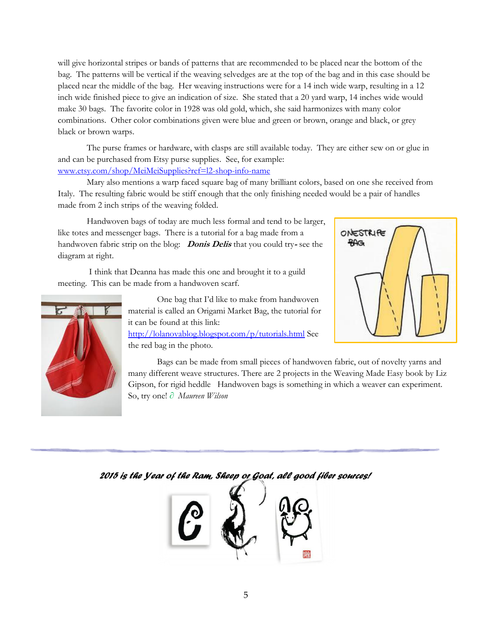will give horizontal stripes or bands of patterns that are recommended to be placed near the bottom of the bag. The patterns will be vertical if the weaving selvedges are at the top of the bag and in this case should be placed near the middle of the bag. Her weaving instructions were for a 14 inch wide warp, resulting in a 12 inch wide finished piece to give an indication of size. She stated that a 20 yard warp, 14 inches wide would make 30 bags. The favorite color in 1928 was old gold, which, she said harmonizes with many color combinations. Other color combinations given were blue and green or brown, orange and black, or grey black or brown warps.

The purse frames or hardware, with clasps are still available today. They are either sew on or glue in and can be purchased from Etsy purse supplies. See, for example: [www.etsy.com/shop/MeiMeiSupplies?ref=l2-shop-info-name](http://www.etsy.com/shop/MeiMeiSupplies?ref=l2-shop-info-name)

Mary also mentions a warp faced square bag of many brilliant colors, based on one she received from Italy. The resulting fabric would be stiff enough that the only finishing needed would be a pair of handles made from 2 inch strips of the weaving folded.

Handwoven bags of today are much less formal and tend to be larger, like totes and messenger bags. There is a tutorial for a bag made from a handwoven fabric strip on the blog: **Donis Delis** that you could try**-** see the diagram at right.

I think that Deanna has made this one and brought it to a guild meeting. This can be made from a handwoven scarf.



One bag that I'd like to make from handwoven material is called an Origami Market Bag, the tutorial for it can be found at this link: <http://lolanovablog.blogspot.com/p/tutorials.html> See the red bag in the photo.



Bags can be made from small pieces of handwoven fabric, out of novelty yarns and many different weave structures. There are 2 projects in the Weaving Made Easy book by Liz Gipson, for rigid heddle Handwoven bags is something in which a weaver can experiment. So, try one! *∂ Maureen Wilson*

#### *2015 is the Year of the Ram, Sheep or Goat, all good fiber sources!*